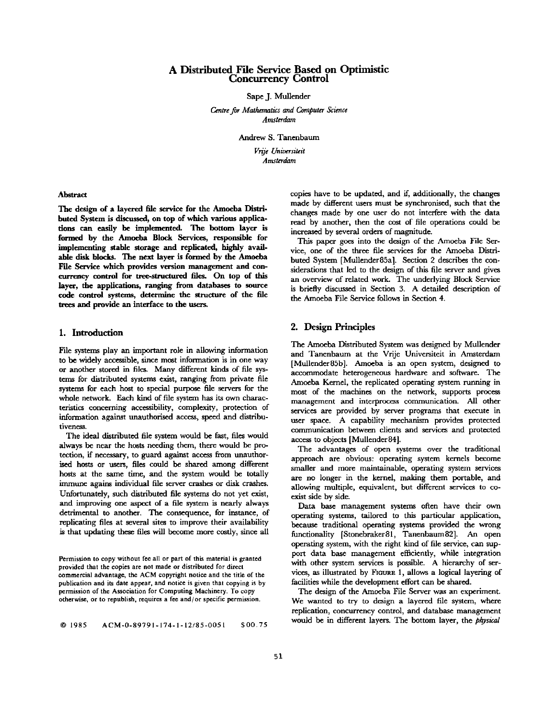# **A Distributed File Service Based on Optimistic Concurrency Control**

Sape J. Mullender

*Centre for Mathematics and Computer Science Amsterdam* 

Andrew S. Tanenbaum

*Vrije Universiteit Amsterdam* 

### **Abstract**

**The** design of a layered file service for the Amoeba Distributed **System** is discussed, **on top** of which various applications can easily be implemented. The bottom layer is formed by the Amoeba **Block** Services, responsible **for**  implementing **stable storage and repficated, highly available** disk blocks. The next layer is formed by the Amoeba File Service **which provides version management and con**currency control for tree-structured files. On top of this layer, the applications, ranging from databases to source code **control systems,** determine the structure **of the** file trees **and provide** an interface to the users.

# **1. Introduction**

File systems play an important role in allowing information to be widely accessible, since most information is in one way or another stored in files. Many different kinds of file systems for distributed systems exist, ranging from private file systems for each host to special purpose file servers for the whole network. Each kind of file system has its own characteristics concerning accessibility, complexity, protection of information against unauthorised access, speed and distributiveness.

The ideal distributed file system would be fast, files would always be near the hosts needing them, there would be protection, if necessary, to guard against access from unauthorised hosts or users, files could be shared among different hosts at the same time, and the system would be totally immune agains individual file server crashes or disk crashes. Unfortunately, such distributed file systems do not yet exist, and improving one aspect of a file system is nearly always detrimental to another. The consequence, for instance, of replicating files at several sites to improve their availability is that updating these files will become more costly, since all

Permission to copy without fee all or part of this material is granted provided **that the** copies are not made or distributed for direct commercial **advantage, the** *ACM* copyright notice and **the title** of the publication and its date appear, and notice is given that copying is **by**  permission of the Association for Computing Machinery. To copy otherwise, or to republish, requires a fee and/or specific permission.

copies have to be updated, and if, additionally, the changes made by different users must be synchronised, such that the changes made by one user do not interfere with the data read by another, then the cost of file operations could be increased by several orders of magnitude.

This paper goes into the design of the Amoeba File Service, one of the three file services for the Amoeba Distributed System [MuUender85a]. Section 2 describes the considerations that led to the design of this file server and gives an overview of related work. The underlying Block Service is briefly discussed in Section 3. A detailed description of the Amoeba File Service follows in Section 4.

# **2. Design Principles**

The Amoeba Distributed System was designed by Mullender and Tanenbaum at the Vrije Universiteit in Amsterdam [Mullender85b]. Amoeba is an open system, designed to accommodate heterogeneous hardware and software. The Amoeba Kernel, the replicated operating system running in most of the machines on the network, supports process management and interprocess communication. All other services are provided by server programs that execute in user space. A capability mechanism provides protected communication between clients and services and protected access to objects [Mullender84].

The advantages of open systems over the traditional approach are obvious: operating system kernels become smaller and more maintainable, operating system services are no longer in the kernel, making them portable, and allowing multiple, equivalent, but different services to coexist side by side.

Data base management systems often have their own operating systems, tailored to this particular application, because traditional operating systems provided the wrong fimctionality [Stonebraker81, Tanenbaum82]. An open operating system, with the right kind of file service, can support data base management efficiently, while integration with other system services is possible. A hierarchy of services, as illustrated by FIGURE 1, allows a logical layering of facilities while the development effort can be shared.

The design of the Amoeba File Server was an experiment. We wanted to try to design a layered file system, where replication, concurrency control, and database management would be in different layers. The bottom layer, the *physical*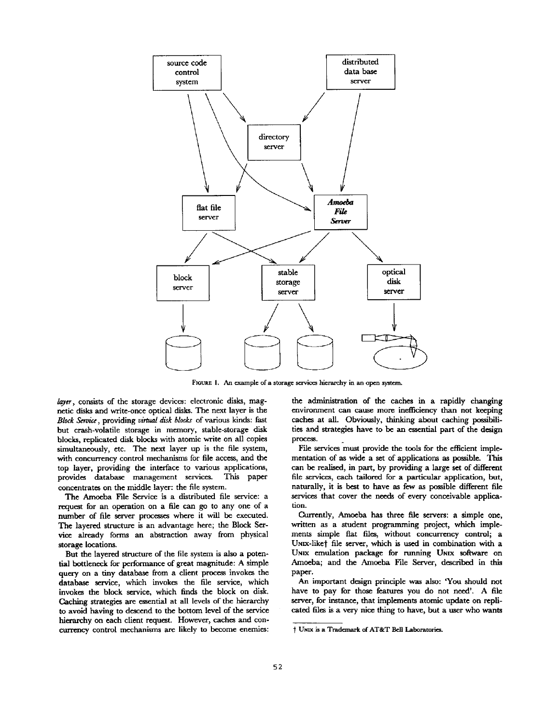

FIOURE 1. An example of a storage services hierarchy in an open system.

layer, consists of the storage devices: electronic disks, magnetic disks and write-once optical disks. The next layer is the *Block Seroice,* providing *virtual disk blocks* of various kinds: fast but crash-volatile storage in memory, stable-storage disk blocks, replicated disk blocks with atomic write on all copies simultaneously, etc. The next layer up is the file system, with concurrency control mechanisms for file access, and the top layer, providing the interface to various applications, provides database management services. This paper concentrates on the middle layer: the file system.

The Amoeba File Service is a distributed file service: a request for an operation on a file can go to any one of a number of file server processes where it will be executed. The layered structure is an advantage here; the Block Service already forms an abstraction away from physical storage locations.

But the layered structure of the file system is also a potential bottleneck for performance of great magnitude: A simple query on a tiny database from a client process invokes the database service, which invokes the file service, which invokes the block service, which finds the block on disk. Caching strategies are essential at all levels of the hierarchy to avoid having to descend to the bottom level of the service hierarchy on each client request. However, caches and concurrency control mechanisms are likely to become enemies:

the administration of the caches in a rapidly changing environment can cause more inefficiency than not keeping caches at all. Obviously, thinking about caching possibilities and strategies have to be an essential part of the design process.

File services must provide the tools for the efficient implementation of as wide a set of applications as possible. This can be realised, in part, by providing a large set of different file services, each tailored for a particular application, but, naturally, it is best to have as few as possible different file services that cover the needs of every conceivable application.

Currently, Amoeba has three file servers: a simple one, written as a student programming project, which implements simple flat files, without concurrency control; a UNIX-like† file server, which is used in combination with a Umx emulation package for running Umx software on Amoeba; and the Amoeba File Server, described in this paper.

An important design principle was also: 'You should not have to pay for those features you do not need'. A file server, for instance, that implements atomic update on replicated files is a very nice thing to have, but a user who wants

t Umx is a Trademark of AT&T Bell Laboratories.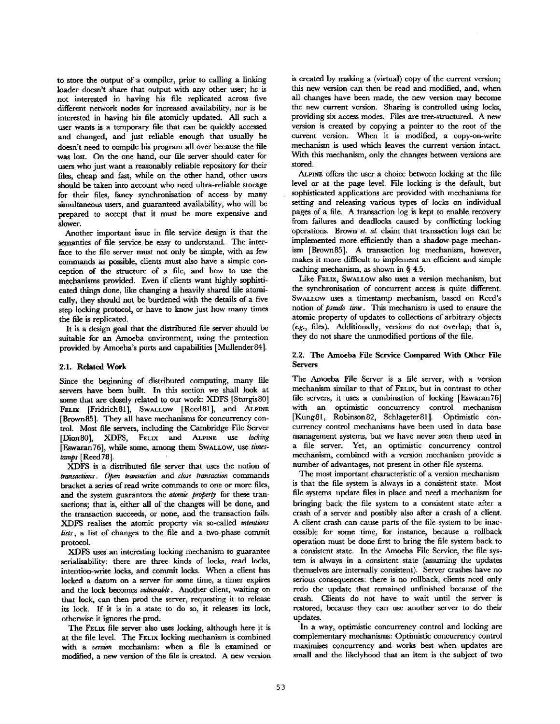to store the output of a compiler, prior to calling a linking loader doesn't share that output with any other user; he is not interested in having his file replicated across five different network nodes for increased availability, nor is he interested in having his file atomicly updated. All such a user wants is a temporary file that can be quickly accessed and changed, and just reliable enough that usually he doesn't need to compile his program all over because the file was lost. On the one hand, our file server should cater for users who just want a reasonably reliable repository for their files, cheap and fast, while on the other hand, other users should be taken into account who need ultra-reliable storage for their files, fancy synchronisation of access by many simultaneous users, and guaranteed availability, who will be prepared to accept that it must be more expensive and slower.

Another important issue in file service design is that the semantics of file service be easy to understand. The interface to the file server must not only be simple, with as few commands as possible, clients must also have a simple concepdon of the structure of a file, and how to use the mechanisms provided. Even if clients want highly sophisticated things done, like changing a heavily shared file atomically, they should not be burdened with the details of a five step locking protocol, or have to know just how many times the file is replicated.

It is a design goal that the distributed file server should be suitable for an Amoeba environment, using the protection provided by Amoeba's ports and capabilities [Mullender84].

### **2.1. Related Work**

Since the beginning of distributed computing, many file servers have been built. In this section we shall look at some that are closely related to our work: XDFS [Sturgis80] FELIX [Fridrich81], SWALLOW [Reed81], and ALPINE [Brown85]. They all have mechanisms for concurrency control. Most file servers, including the Cambridge File Server [Dion80], XDFS, FELIX and ALPINE use *locking*  [Eswaran76], while some, among them SWALLOW, use *timestamps* [Reed78].

XDFS is a distributed file server that uses the notion of *transactions. Open transaction* and *close transaction* commands bracket a series of read write commands to one or more files, and the system guarantees the *atomic property* for these transactions; that is, either all of the changes will be done, and the transaction succeeds, or none, and the transaction fails. XDFS realises the atomic property via so-called *intentions*  lists, a list of changes to the file and a two-phase commit protocol.

XDFS uses an interesting locking mechanism to guarantee serialisability: there are three kinds of locks, read locks, intention-write locks, and commit locks. When a client has locked a datum on a server for some time, a timer expires and the lock becomes *vulnerable.* Another client, waiting on that lock, can then prod the server, requesting it to release its lock. If it is in a state to do so, it releases its lock, otherwise it ignores the prod.

The FELIX file server also uses locking, although here it is at the file level. The FELIX locking mechanism is combined with a version mechanism: when a file is examined or modified, a new version of the file is created. A new version is created by making a (virtual) copy of the current version; this new version can then be read and modified, and, when all changes have been made, the new version may become the new current version. Sharing is controlled using locks, providing six access modes. Files are tree-structured. A new version is created by copying a pointer to the root of the current version. When it is modified, a copy-on-write mechanism is used which leaves the current version intact. With this mechanism, only the changes between versions are stored.

ALPINE offers the user a choice between locking at the file level or at the page level. File locking is the default, but sophisticated applications are provided with mechanisms for setting and releasing various types of locks on individual pages of a file. A transaction log is kept to enable recovery from failures and deadlocks caused by conflicting locking operations. Brown *et. al.* claim that transaction logs can be implemented more efficiently than a shadow-page mechanism [Brown85]. A transaction log mechanism, however, makes it more difficult to implement an efficient and simple caching mechanism, as shown in § 4.5.

Like FELIX, SWALLOW also uses a version mechanism, but the synchronisation of concurrent access is quite different. SwaLLOW uses a timestamp mechanism, based on Reed's notion of *pseudo* t/me. This mechanism is used to ensure the atomic property of updates to collections of arbitrary objects *(e.g.,* files). Additionally, versions do not overlap; that is, they do not share the unmodified portions of the file.

# 2.2. The Amoeba File Service Compared With Other File Servers

The Amoeba File Server is a file server, with a version mechanism similar to that of FELIX, but in contrast to other file servers, it uses a combination of locking [Eswaran76] with an optimistic concurrency control mechanism [Kung81, Robinson82, Schlageter81]. Optimistic concurrency control mechanisms have been used in data base management systems, but we have never seen them used in a file server. Yet, an optimistic concurrency control mechanism, combined with a version mechanism provide a number of advantages, not present in other file systems.

The most important characteristic of a version mechanism is that the file system is always in a consistent state. Most file systems update files in place and need a mechanism for bringing back the file system to a consistent state after a crash of a server and possibly also after a crash of a client. A client crash can cause parts of the file system to be inaccessible for some time, for instance, because a rollback operation must be done first to bring the file system back to a consistent state. In the Amoeba File Service, the file system is always in a consistent state (assuming the updates themselves are internally consistent). Server crashes have no serious consequences: there is no rollback, clients need only redo the update that remained unfinished because of the crash. Clients do not have to wait until the server is restored, because they can use another server to do their updates.

In a way, optimistic concurrency control and locking are complementary mechanisms: Optimistic concurrency control maximises concurrency and works best when updates are small and the likelyhood that an item is the subject of two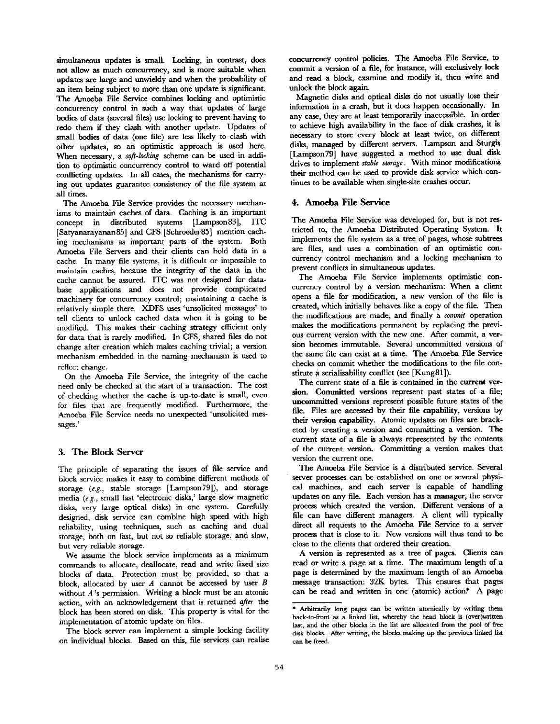simultaneous updates is small. Locking, in contrast, does not allow as much concurrency, and is more suitable when updates are large and unwieldy and when the probability of an item being subject to more than one update is significant. The Amoeba File Service combines locking and optimistic concurrency control in such a way that updates of large bodies of data (several files) use locking to prevent having to redo them if they clash with another update. Updates of small bodies of data (one file) are less likely to clash with other updates, so an optimistic approach is used here. When necessary, a *soft-locking* scheme can be used in addition to optimistic concurrency control to ward off potential conflicting updates. In all cases, the mechanisms for carrying out updates guarantee consistency of the file system at all times.

The Amoeba File Service provides the necessary mechanisms to maintain caches of data. Caching is an important concept in distributed systems [Lampson83], ITC [Satyanarayanan85] and CFS [Schroeder85] mention caching mechanisms as important parts of the system. Both Amoeba File Servers and their clients can hold data in a cache. In many file systems, it is difficult or impossible to maintain caches, because the integrity of the data in the cache cannot be assured. ITC was not designed for database applications and does not provide complicated machinery for concurrency control; maintaining a cache is relatively simple there. XDFS uses 'unsolicited messages' to tell clients to unlock cached data when it is going to be modified. This makes their caching strategy efficient only for data that is rarely modified. In CFS, shared files do not change after creation which makes caching trivial; a version mechanism embedded in the naming mechanism is used to reflect change.

On the Amoeba File Service, the integrity of the cache need only be checked at the start of a transaction. The cost of checking whether the cache is up-to-date is small, even for files that are frequently modified. Furthermore, the Amoeba File Service needs no unexpected 'unsolicited messages.'

# 3. The Block Server

The principle of separating the issues of file service and block service makes it easy to combine different methods of storage *(e.g.,* stable storage [Lampson79]), and storage media *(e.g.,* small fast 'electronic disks,' large slow magnetic disks, very large optical disks) in one system. Carefully designed, disk service can combine high speed with high reliability, using techniques, such as caching and dual storage, both on fast, but not so reliable storage, and slow, but very reliable storage.

We assume the block service implements as a minimum commands to allocate, deallocate, read and write fixed size blocks of data. Protection must be provided, so that a block, allocated by user  $A$  cannot be accessed by user  $B$ without  $A$ 's permission. Writing a block must be an atomic action, with an acknowledgement that is returned *after* the block has been stored on disk. This property is vital for the implementation of atomic update on files.

The block server can implement a simple locking facility on individual blocks. Based on this, file services can realise concurrency control policies. The Amoeba File Service, to commit a version of a file, for instance, will exclusively lock and read a block, examine and modify it, then write and unlock the block again.

Magnetic disks and optical disks do not usually lose their information in a crash, but it does happen occasionally. In any case, they are at least temporarily inaccessible. In order to achieve high availability in the face of disk crashes, it is necessary to store every block at least twice, on different disks, managed by different servers. Lampson and Sturgis [Lampson79] have suggested a method to use dual disk drives to implement *stable storage.* With minor modifications their method can be used to provide disk service which continues to be available when single-site crashes occur.

# 4. Amoeba File Service

The Amoeba File Service was developed for, but is not restricted to, the Amoeba Distributed Operating System. It implements the file system as a tree of pages, whose subtrees are files, and uses a combination of an optimistic concurrency control mechanism and a locking mechanism to prevent conflicts in simultaneous updates.

The Amoeba File Service implements optimistic concurrency control by a version mechanism: When a client opens a file for modification, a new version of the file is created, which initially behaves like a copy of the file. Then the modifications are made, and finally a *commit* operation makes the modifications permanent by replacing the previous current version with the new one. After commit, a version becomes immutable. Several uncommitted versions of the same file can exist at a time. The Amoeba File Service checks on commit whether the modifications to the file constitute a serialisability conflict (see [Kung81]).

The current state of a file is contained in the current version. **Committed versions** represent past states of a file; uncommitted versions represent possible future states of the file. Files are accessed by their file capability, versions by their version capability. Atomic updates on files are bracketed :by creating a version and committing a version. The current state of a file is always represented by the contents of the current version. Committing a version makes that version the current one.

The Amoeba File Service is a distributed service. Several server processes can be established on one or several physical machines, and each server is capable of handling updates on any file. Each version has a manager, the server process which created the version. Different versions of a file can have different managers. A client will typically direct all requests to the Amoeba File Service to a server process that is close to it. New versions will thus tend to be close to the clients that ordered their creation.

A version is represented as a tree of pages. Clients can read or write a page at a time. The maximum length of a page is determined by the maximum length of an Amoeba message transaction: 32K bytes. This ensures that pages can be read and written in one (atomic) action.\* A page

<sup>\*</sup> Arbitrarily long pages can be written atomically by writing them back-to-front as a linked list, whereby the head block is (over)written last, and the other blocks in the list are allocated from the pool of free disk blocks. After writing, the blocks making up the previous linked list can be freed.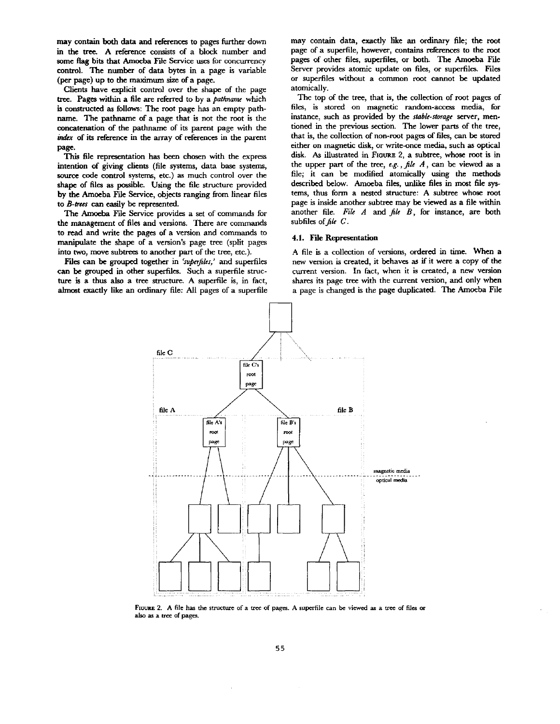may contain both data and references to pages fiarther down in the tree. A reference consists of a block number and some flag bits that Amoeba File Service uses for concurrency control. The number of data bytes in a page is variable (per page) up to the maximum size of a page.

Clients have explicit control over the shape of the page tree. Pages within a file are referred to by a *pathname* which is constructed as follows: The root page has an empty pathname. The pathnarne of a page that is not the root is the concatenation of the pathname of its parent page with the index of its reference in the array of references in the parent page.

This file representation has been chosen with the express intention of giving clients (file systems, data base systems, source code control systems, etc.) as much control over the shape of files as possible. Using the file structure provided by the Amoeba File Service, objects ranging from linear files *to B-trees* can easily be represented.

The Amoeba File Service provides a set of commands for the management of files and versions. There are commands to read and write the pages of a version and commands to manipulate the shape of a version's page tree (split pages into two, move subtrees to another part of the tree, etc.).

Files can be grouped together in *"superfiles,"* and superfiles can be grouped in other superfiles. Such a superfile structure is a thus also a tree structure. A superfile is, in fact, almost exactly like an ordinary file: All pages of a superfile may contain data, exactly like an ordinary file; the root page of a superfile, however, contains references to the root pages of other files, superfiles, or both. The Amoeba File Server provides atomic update on files, or superfiles. Files or superfiles without a common root cannot be updated atomically.

The top of the tree, that is, the collection of root pages of files, is stored on magnetic random-access media, for instance, such as provided by the *stable-storage* server, mentioned in the previous section. The lower parts of the tree, that is, the collection of non-root pages of files, can be stored either on magnetic disk, or write-once media, such as optical disk. As illustrated in FIGURE 2, a subtree, whose root is in the upper part of the tree, *e.g., file A,* can be viewed as a file; it can be modified atomically using the methods described below. Amoeba files, unlike files in most file systerns, thus form a nested structure: A subtree whose root page is inside another subtree may be viewed as a file within another file. *File A and file B,* for instance, are both subfiles *of file C.* 

### 4.1. File Representation

A file is a collection of versions, ordered in time. When a new version is created, it behaves as if it were a copy of the current version. In fact, when it is created, a new version shares its page tree with the current version, and only when a page is changed is the page duplicated. The Amoeba File



FIGURE 2. A file has the structure of a tree of pages. A superfile can be viewed as a tree of files or also as a tree of pages.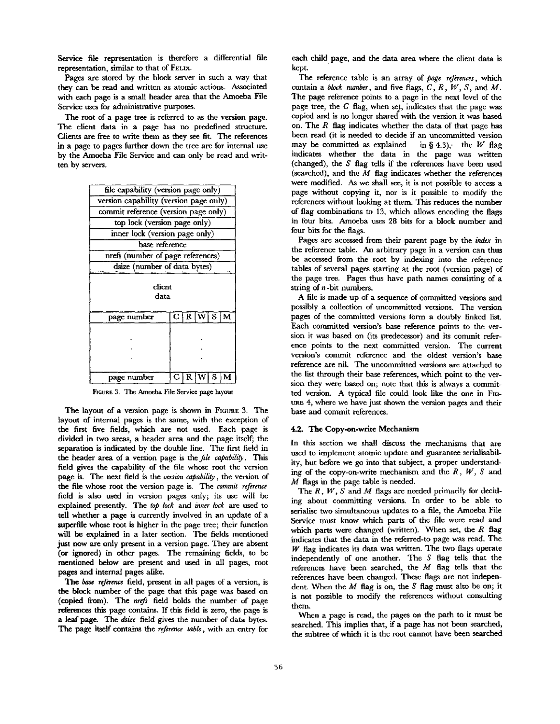Service file representation is therefore a differential file representation, similar to that of FELIX.

Pages are stored by the block server in such a way that they can be read and written as atomic actions. Associated with each page is a small header area that the Amoeba File Service uses for administrative purposes.

The root of a page tree is referred to as the version page. The client data in a page has no predefined structure. Clients are free to write them as they see fit. The references in a page to pages further down the tree are for internal use by the Amoeba File Service and can only be read and written by servers.



FIOURE 3. The Amoeba File Service page layout

The layout of a version page is shown in FIGURE 3. The layout of internal pages is the same, with the exception of the first five fields, which are not used. Each page is divided in two areas, a header area and the page itself; the separation is indicated by the double line. The first field in the header area of a version page is the *file capability*. This field gives the capability of the file whose root the version page is. The next field is the *version capability*, the version of the file whose root the version page is. The *commit reference*  field is also used in version pages only; its use will be explained presently. The top *lock* and *inner lock* are used to tell whether a page is currently involved in an update of a superfile whose root is higher in the page tree; their function will be explained in a later section. The fields mentioned just now are only present in a version page. They are absent (or ignored) in other pages. The remaining fields, to be mentioned below arc present and used in all pages, root pages and internal pages alike.

*The base reference* field, present in all pages of a version, is the block number of the page that this page was based on (copied from). *The nrefs* field holds the number of page references this page contains. If this field is zero, the page is a leaf page. The dsize field gives the number of data bytes. The page itself contains the *reference table,* with an entry for

each child, page, and the data area where the client data is kept.

The reference table is an array of *page references,* which contain a *block number,* and five flags, C, R, W, S, and M. The page reference points to a page in the next level of the page tree, the  $C$  flag, when set, indicates that the page was copied and is no longer shared with the version it was based on. The  $R$  flag indicates whether the data of that page has been read (it is needed to decide if an uncommitted version may be committed as explained in § 4.3), the  $W$  flag indicates whether the data in the page was written (changed), the S flag tells if the references have been used (searched), and the  $\tilde{M}$  flag indicates whether the references were modified. As we shall see, it is not possible to access a page without copying it, nor is it possible to modify the references without looking at them. This reduces the number of flag combinations to 13, which allows encoding the flags in four bits. Amoeba uses 28 bits for a block number and four bits for the flags.

Pages are accessed from their parent page by the *index* in the reference table. An arbitrary page in a version can thus be accessed from the root by indexing into the reference tables of several pages starting at the root (version page) of the page tree. Pages thus have path names consisting of a string of  $n$ -bit numbers.

A file is made up of a sequence of committed versions and possibly a collection of uncommitted versions. The version pages of the committed versions form a doubly linked list. Each committed version's base reference points to the version it was based on (its predecessor) and its commit reference points to the next committed version. The current version's commit reference and the oldest version's base reference are nil. The uncommitted versions are attached to the list through their base references, which point to the version they were based on; note that this is always a committed version. A typical file could look like the one in Figure 4, where we have just shown the version pages and their base and commit references.

#### 4.2. The Copy-on-write Mechanism

In this section we shall discuss the mechanisms that are used to implement atomic update and guarantee serialisability, but before we go into that subject, a proper understanding of the copy-on-write mechanism and the  $R$ ,  $W$ ,  $S$  and  $M$  flags in the page table is needed.

The  $R$ ,  $W$ ,  $S$  and  $M$  flags are needed primarily for deciding about committing versions. In order to be able to serialise two simultaneous updates to a file, the Amoeba File Service must know which parts of the file were read and which parts were changed (written). When set, the  $R$  flag indicates that the data in the referred-to page was read. The  $W$  flag indicates its data was written. The two flags operate independently of one another. The S flag tells that the references have been searched, the  $M$  flag tells that the references have been changed. These flags are not independent. When the  $M$  flag is on, the  $S$  flag must also be on; it is not possible to modify the references without consulting them.

When a page is read, the pages on the path to it must be searched. This implies that, if a page has not been searched, the subtree of which it is the root cannot have been searched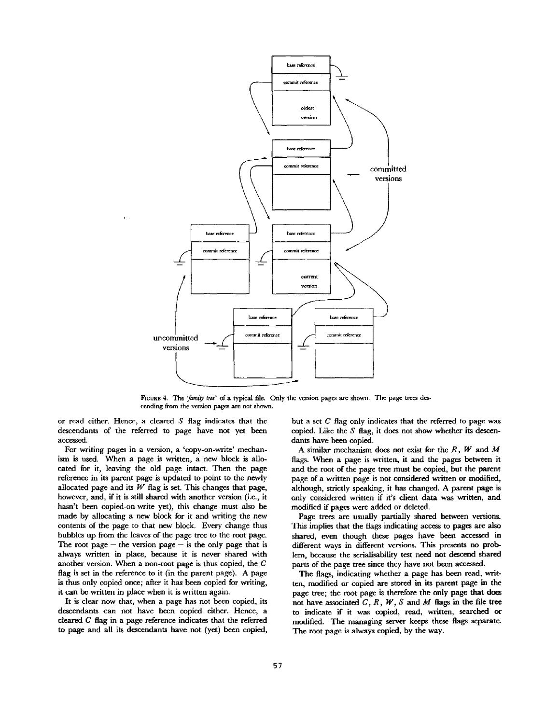

FIGURE 4. The *family tree*' of a typical file. Only the version pages are shown. The page trees descending from the version pages are not shown.

or read either. Hence, a cleared S flag indicates that the descendants of the referred to page have not yet been accessed.

For writing pages in a version, a 'copy-on-write' mechanism is used. When a page is written, a new block is allocated for it, leaving the old page intact. Then the page reference in its parent page is updated to point to the newly allocated page and its  $W$  flag is set. This changes that page, however, and, if it is still shared with another version (i.e., it hasn't been copied-on-write yet), this change must also be made by allocating a new block for it and writing the new contents of the page to that new block. Every change thus bubbles up from the leaves of the page tree to the root page. The root page  $-$  the version page  $-$  is the only page that is always written in place, because it is never shared with another version. When a non-root page is thus copied, the  $C$ flag is set in the reference to it (in the parent page). A page is thus only copied once; after it has been copied for writing, it can be written in place when it is written again.

It is clear now that, when a page has not been copied, its descendants can not have been copied either. Hence, a cleared C flag in a page reference indicates that the referred to page and all its descendants have not (yet) been copied, but a set  $C$  flag only indicates that the referred to page was copied. Like the S flag, it does not show whether its descendants have been copied.

A similar mechanism does not exist for the  $R$ ,  $W$  and  $M$ flags. When a page is written, it and the pages between it and the root of the page tree must be copied, but the parent page of a written page is not considered written or modified, although, strictly speaking, it has changed. A parent page is only considered written if it's client data was written, and modified if pages were added or deleted.

Page trees are usually partially shared between versiom. This implies that the flags indicating access to pages are also shared, even though these pages have been accessed in different ways in different versions. This presents no problem, because the serialisability test need not descend shared parts of the page tree since they have not been accessed.

The flags, indicating whether a page has been read, written, modified or copied are stored in its parent page in the page tree; the root page is therefore the only page that does not have associated  $C, R, W, S$  and  $M$  flags in the file tree to indicate if it was copied, read, written, searched or modified. The managing server keeps these flags separate. The root page is always copied, by the way.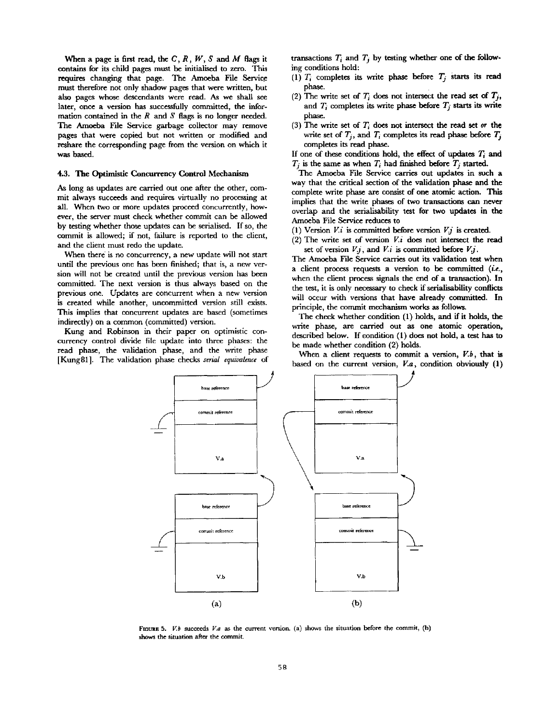When a page is first read, the  $C, R, W, S$  and  $M$  flags it contains for its child pages must be initialised to zero. This requires changing that page. The Amoeba File Service must therefore not only shadow pages that were written, but also pages whose descendants were read. As we shall see later, once a version has successfully committed, the information contained in the  $R$  and  $S$  flags is no longer needed. The Amoeba File Service garbage collector may remove pages that were copied but not written or modified and reshare the corresponding page from the version on which it was based.

### 4.3. The Optimistic Concurrency Control Mechanism

As long as updates are carried out one after the other, commit always succeeds and requires virtually no processing at all. When two or more updates proceed concurrently, however, the server must check whether commit can be allowed by testing whether those updates can be serialised. If so, the commit is allowed; if not, failure is reported to the client, and the client must redo the update.

When there is no concurrency, a new update will not start until the previous one has been finished; that is, a new version will not be created until the previous version has been committed. The next version is thus always based on the previous one. Updates are concurrent when a new version is created while another, uncommitted version still exists. This implies that concurrent updates are based (sometimes indirectly) on a common (committed) version.

Kung and Robinson in their paper on optimistic concurrency control divide file update into three phases: the read phase, the validation phase, and the write phase [Kung81]. The validation phase checks *serial equivalence* of transactions  $T_i$  and  $T_j$  by testing whether one of the following conditions hold:

- (1)  $T_i$  completes its write phase before  $T_i$  starts its read phase.
- (2) The write set of  $T_i$  does not intersect the read set of  $T_i$ , and  $T_i$  completes its write phase before  $T_j$  starts its write phase.
- (3) The write set of  $T_i$  does not intersect the read set or the write set of  $T_i$ , and  $T_i$  completes its read phase before  $T_i$ . completes its read phase.

If one of these conditions hold, the effect of updates  $T_i$  and  $T_j$  is the same as when  $T_i$  had finished before  $T_j$  started.

The Amoeba File Service carries out updates in such a way that the critical section of the validation phase and the complete write phase are consist of one atomic action. This implies that the write phases of two transactions can never overlap and the serialisability test for two updates in the Amoeba File Service reduces to

(1) Version  $V_i$  is committed before version  $V_j$  is created.

(2) The write set of version  $V_i$  does not intersect the read set of version  $V_j$ , and  $V_i$  is committed before  $V_j$ .

The Amoeba File Service carries out its validation test when a client process requests a version to be committed *(i.e.,*  when the client process signals the end of a transaction). In the test, it is only necessary to check if serialisability conflicts will occur with versions that have already committed. In principle, the commit mechanism works as follows.

The check whether condition (1) holds, and if it holds, the write phase, are carried out as one atomic operation, described below. If condition (1) does not hold, a test has to be made whether condition (2) holds.

When a client requests to commit a version,  $V.b$ , that is based on the current version,  $V.a$ , condition obviously  $(1)$ 



FIGURE 5. V.b succeeds V.a as the current version. (a) shows the situation before the commit, (b) shows the situation after the commit.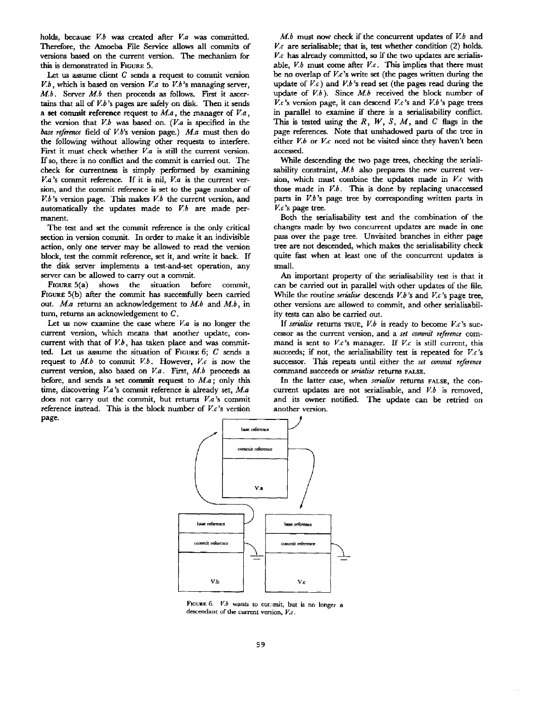holds, because V.b was created after V.a was committed. Therefore, the Amoeba File Service allows all commits of versions based on the current version. The mechanism for this is demonstrated in FIGURE 5.

Let us assume client  $C$  sends a request to commit version  $V.b$ , which is based on version  $V.a$  to  $V.b$ 's managing server, *M.b.* Server *M.b* then proceeds as follows. First it ascertains that all of  $V.b$ 's pages are safely on disk. Then it sends a set commit reference request to *M.a,* the manager of V.a, the version that  $V.b$  was based on.  $(V.a)$  is specified in the *base reference* field of V.b's version page.) *M.a* must then do the following without allowing other requests to interfere. First it must check whether  $V.a$  is still the current version. If so, there is no conflict and the commit is carried out. The check for currentness is simply performed by examining  $V.a.'s$  commit reference. If it is nil,  $V.a$  is the current version, and the commit reference is set to the page number of  $V.b$ 's version page. This makes  $V.b$  the current version, and automatically the updates made to  $V.b$  are made permanent.

The test and set the commit reference is the only critical section in version commit. In order to make it an indivisible action, only one server may be allowed to read the version block, test the commit reference, set it, and write it back. If the disk server implements a test-and-set operation, any server can be allowed to carry out a commit.

FIGURE 5(a) shows the situation before commit, FIGURE 5(b) after the commit has successfully been carried out. M.a returns an acknowledgement to *M.b* and *M.b,* in turn, returns an acknowledgement to C.

Let us now examine the case where  $V.a$  is no longer the current version, which means that another update, concurrent with that of  $V.b$ , has taken place and was committed. Let us assume the situation of FIGURE  $6; C$  sends a request to  $M.b$  to commit  $V.b$ . However,  $V.c$  is now the current version, also based on V.a. First, *M.b* proceeds as before, and sends a set commit request to *M.a;* only this time, discovering V.a's commit reference is already set, *M.a*  does not carry out the commit, but returns  $V.a$ 's commit reference instead. This is the block number of  $V.c$ 's version page.

 $M.b$  must now check if the concurrent updates of  $V.b$  and  $V.c$  are serialisable; that is, test whether condition  $(2)$  holds.  $V.c$  has already committed, so if the two updates are serialisable,  $V.b$  must come after  $V.c$ . This implies that there must be no overlap of V.c's write set (the pages written during the update of  $V.c$ ) and  $V.b$ 's read set (the pages read during the update of V.b). Since *M.b* received the block number of  $V.c$ 's version page, it can descend  $V.c$ 's and  $V.b$ 's page trees in parallel to examine if there is a serialisability conflict. This is tested using the  $R$ ,  $W$ ,  $S$ ,  $M$ , and  $C$  flags in the page references. Note that unshadowed parts of the tree in either  $V.b$  or  $V.c$  need not be visited since they haven't been accessed.

While descending the two page trees, checking the serialisability constraint, *M.b* also prepares the new current version, which must combine the updates made in  $V_c$  with those made in V.b. This is done by replacing unaccessed parts in V.b's page tree by corresponding written parts in  $V.c$ 's page tree.

Both the serialisability test and the combination of the changes made by two concurrent updates are made in one pass over the page tree. Unvisited branches in either page tree are not descended, which makes the serialisability check quite fast when at least one of the concurrent updates is small.

An important property of the serialisability test is that it can be carried out in parallel with other updates of the file. While the routine *serialise* descends V.b's and V.c's page tree, other versions are allowed to commit, and other serialisability tests can also be carried out.

If *serialise* returns TRUE,  $V.b$  is ready to become  $V.c$ 's successor as the current version, and a *set commit reference* command is sent to  $V.c$ 's manager. If  $V.c$  is still current, this succeeds; if not, the serialisability test is repeated for  $V.c$ 's successor. This repeats until either the *set commit reference*  command succeeds or *serialise* returns FALSE.

In the latter case, when *sertalise* returns FALSE, the concurrent updates are not serialisable, and V.b is removed, and its owner notified. The update can be retried on another version.



FIGURE 6.  $V.b$  wants to commit, but is no longer a descendant of the current version, V.c.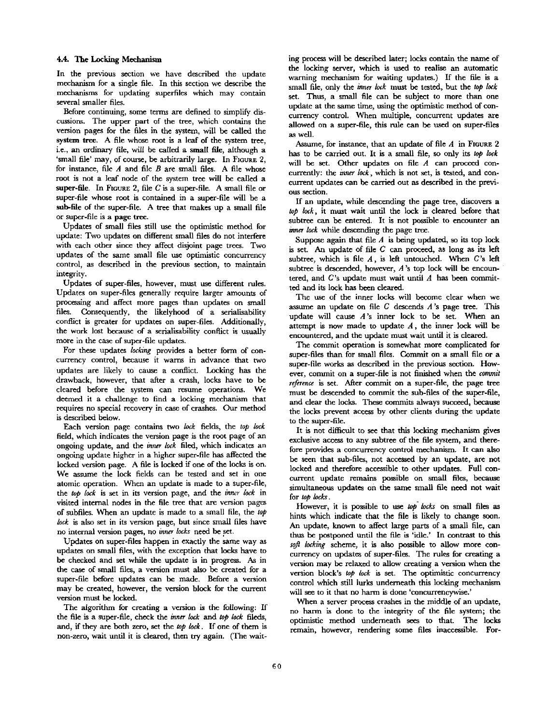### 4.4. The Locking Mechanism

In the previous section we have described the update mechanism for a single file. In this section we describe the mechanisms for updating superrfiles which may contain several smaller files.

Before continuing, some terms are defined to simplify discussions. The upper part of the tree, which contains the version pages for the files in the system, will be called the system tree. A file whose root is a leaf of the system tree, i.e., an ordinary file, will be called a small file, although a 'small file' may, of course, be arbitrarily large. In FIGURE 2, for instance, file  $A$  and file  $B$  are small files. A file whose root is not a leaf node of the system tree will be called a super-file. In FIGURE 2, file  $C$  is a super-file. A small file or super-file whose root is contained in a super-file will be a sub-file of the super-file. A tree that makes up a small file or super-file is a page tree.

Updates of small files still use the optimistic method for update: Two updates on different small files do not interfere with each other since they affect disjoint page trees. Two updates of the same small file use optimistic concurrency control, as described in the previous section, to maintain integrity.

Updates of super-files, however, must use different rules. Updates on super-files generally require larger amounts of processing and affect more pages than updates on small files. Consequently, the likelyhood of a serialisability conflict is greater for updates on super-files. Additionally, the work lost because of a serialisability conflict is usually more in the case of super-file updates.

For these updates *locking* provides a better form of concurrency control, because it warns in advance that two updates are likely to cause a conflict. Locking has the drawback, however, that after a crash, locks have to be cleared before the system can resume operations. We deemed it a challenge to find a locking mechanism that requires no special recovery in case of crashes. Our method is described below.

Each version page contains two *lock* fields, the *top lock*  field, which indicates the version page is the root page of an ongoing update, and the *inner lock* filed, which indicates an ongoing update higher in a higher super-file has affected the locked version page. A file is locked if one of the locks is on. We assume the lock fields can be tested and set in one atomic operation. When an update is made to a super-file, the *top lock* is set in its version page, and the *tuner lock* in visited internal nodes in the file tree that are version pages of subfiles. When an update is made to a small file, the *top lock* is also set in its version page, but since small files have no internal version pages, no *inner locks* need be set.

Updates on super-files happen in exactly the same way as updates on small files, with the exception that locks have to be checked and set while the update is in progress. As in the case of small files, a version must also be created for a super-file before updates can be made. Before a version may be created, however, the version block for the current version must be locked.

The algorithm for creating a version is the following: If the file is a super-file, check the *inner lock* and *top lock* fileds, and, if they are both zero, set the top lock. If one of them is non-zero, wait until it is cleared, then try again. (The waiting process will be described later; locks contain the name of the locking server, which is used to realise an automatic warning mechanism for waiting updates.) If the file is a small file, only the *inner lock* must be tested, but the *top lock*  set. Thus, a small file can be subject to more than one update at the same time, using the optimistic method of concurrency control. When multiple, concurrent updates are allowed on a super-file, this rule can be used on super-files as well.

Assume, for instance, that an update of file  $A$  in FIGURE 2 has to be carried out. It is a small file, so only *its top lock*  will be set. Other updates on file  $A$  can proceed concurrently: the *inner lock*, which is not set, is tested, and concurrent updates can be carried out as described in the previous section.

If an update, while descending the page tree, discovers a *top lock,* it must wait until the lock is cleared before that subtree can be entered. It is not possible to encounter an *inner lock* while descending the page tree.

Suppose again that file  $A$  is being updated, so its top lock is set. An update of file  $C$  can proceed, as long as its left subtree, which is file  $A$ , is left untouched. When  $C$ 's left subtree is descended, however,  $A$ 's top lock will be encountered, and  $C$ 's update must wait until  $A$  has been committed and its lock has been cleared.

The use of the inner locks will become clear when we assume an update on file  $C$  descends  $A$ 's page tree. This update will cause A's inner lock to be set. When an attempt is now made to update  $A$ , the inner lock will be encountered, and the update must wait until it is cleared.

The commit operation is somewhat more complicated for super-files than for small files. Commit on a small file or a super-file works as described in the previous section. However, commit on a super-file is not finished when the *commit reference* is set. After commit on a super-file, the page tree must be descended to commit the sub-files of the super-file, and clear the locks. These commits always succeed, because the locks prevent access by other clients during the update to the super-file.

It is not difficult to see that this locking mechanism gives exclusive access to any subtree of the file system, and therefore provides a concurrency control mechanism. It can also be seen that sub-files, not accessed by an update, are not locked and therefore accessible to other updates. Full concurrent update remains possible on small files, because simultaneous updates on the same small file need not wait for top locks.

However, it is possible to *use top locks* on small files as hints which indicate that the file is likely to change soon. An update, known to affect large parts of a small file, can thus be postponed until the file is 'idle.' In contrast to this *soft locking* scheme, it is also possible to allow more concurrency on updates of super-files. The rules for creating a version may be relaxed to allow creating a version when the version block's *top lock is* set. The optimistic concurrency control which still lurks underneath this locking mechanism will see to it that no harm is done 'concurrencywise.'

When a server process crashes in the middle of an update, no harm is done to the integrity of the file system; the optimistic method underneath sees to that. The locks remain, however, rendering some files inaccessible. For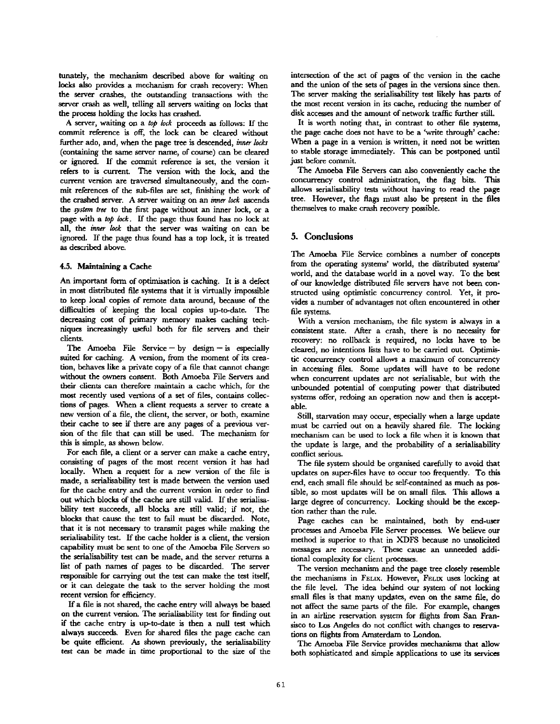tunately, the mechanism described above for waiting on locks also provides a mechanism for crash recovery: When the server crashes, the outstanding transactions with the server crash as well, telling all servers waiting on locks that the process holding the locks has crashed.

A server, waiting on *a top lock* proceeds as follows: If the commit reference is off, the lock can be cleared without further ado, and, when the page tree is descended, *inner locks*  (containing the same server name, of course) can be cleared or ignored. If the commit reference is set, the version it refers to is current. The version with the lock, and the current version are traversed simultaneously, and the commit references of the sub-files are set, finishing the work of the crashed server. A server waiting on *an inner lock* ascends the system tree to the first page without an inner lock, or a page *with a top lock.* If the page thus found has no lock at all, the *inner lock* that the server was waiting on can be ignored. If the page thus found has a top lock, it is treated as described above.

# 4.5. Maintaining a Cache

An important form of optimisation is caching. It is a defect in most distributed file systems that it is virtually impossible to keep local copies of remote data around, because of the difficulties of keeping the local copies up-to-date. The decreasing cost of primary memory makes caching techniques increasingly useful both for file servers and their clients.

The Amoeba File Service  $-$  by design  $-$  is especially suited for caching. A version, from the moment of its creation, behaves like a private copy of a file that cannot change without the owners consent. Both Amoeba File Servers and their clients can therefore maintain a cache which, for the most recently used versions of a set of files, contains collections of pages. When a client requests a server to create a new version of a file, the client, the server, or both, examine their cache to see if there are any pages of a previous version of the file that can still be used. The mechanism for this is simple, as shown below.

For each file, a client or a server can make a cache entry, consisting of pages of the most recent version it has had locally. When a request for a new version of the file is made, a serialisability test is made between the version used for the cache entry and the current version in order to find out which blocks of the cache are still valid. If the serialisability test succeeds, all blocks are still valid; if not, the blocks that cause the test to fall must be discarded. Note, that it is not necessary to transmit pages while making the serialisability test. If the cache holder is a client, the version capability must be sent to one of the Amoeba File Servers so the serialisability test can be made, and the server returns a list of path names of pages to be discarded. The server responsible for carrying out the test can make the test itself, or it can delegate the task to the server holding the most recent version for efficiency.

If a file is not shared, the cache entry will always be based on the current version. The serialisability test for finding out if the cache entry is up-to-date is then a null test which always succeeds. Even for shared files the page cache can be quite efficient. As shown previously, the serialisability test can be made in time proportional to the size of the intersection of the set of pages of the version in the cache and the union of the sets of pages in the versions since then. The server making the serialisability test likely has parts of the most recent version in its cache, reducing the number of disk accesses and the amount of network traffic further still.

It is worth noting that, in contrast to other file systems, the page cache does not have to be a 'write through' cache: When a page in a version is written, it need not be written to stable storage immediately. This can be postponed until just before commit.

The Amoeba File Servers can also conveniently cache the concurrency control administration, the flag bits. allows serialisability tests without having to read the page tree. However, the flags must also be present in the files themselves to make crash recovery possible.

# **5. Conclusions**

The Amoeba File Service combines a number of concepts from the operating systems' world, the distributed systems' world, and the database world in a novel way. To the best of our knowledge distributed file servers have not been constructed using optimistic concurrency control. Yet, it prorides a number of advantages not often encountered in other file systems.

With a version mechanism, the file system is always in a consistent state. After a crash, there is no necessity for recovery: no rollback is required, no locks have to be cleared, no intentions lists have to be carried out. Optimistic concurrency control allows a maximum of concurrency in accessing files. Some updates will have to be redone when concurrent updates are not serialisable, but with the unbounded potential of computing power that distributed systems offer, redoing an operation now and then is acceptable.

Still, starvation may occur, especially when a large update must be carried out on a heavily shared file. The locking mechanism can be used to lock a file when it is known that the update is large, and the probability of a serialisability conflict serious.

The file system should be organised carefully to avoid that updates on super-files have to occur too frequently. To this end, each small file should be self-contained as much as possible, so most updates will be on small files. This allows a large degree of concurrency. Locking should be the exception rather than the rule.

Page caches can be maintained, both by end-user processes and Amoeba File Server processes. We believe our method is superior to that in XDFS because no unsolicited messages are necessary. These cause an unneeded additional complexity for client processes.

The version mechanism and the page tree closely resemble the mechanisms in FELIX. However, FEux uses locking at the file level. The idea behind our system of not locking small files is that many updates, even on the same file, do not affect the same parts of the file. For example, changes in an airline reservation system for flights from San Fransisco to Los Angeles do not conflict with changes to reservations on flights from Amsterdam to London.

The Amoeba File Service provides mechanisms that allow both sophisticated and simple applications to use its services